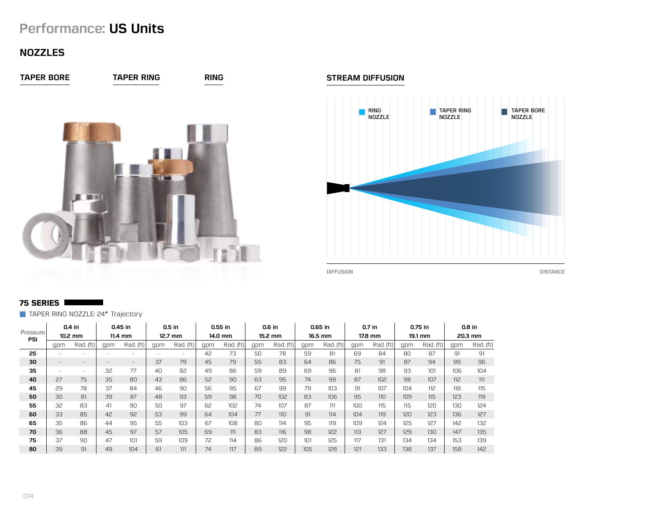# **Performance: US Units**

# **NOZZLES**



#### **STREAM DIFFUSION**



## **75 SERIES**

TAPER RING NOZZLE: 24° Trajectory

|                              |                          | $0.4$ in                 |                   | $0.45$ in |     | $0.5$ in  |     | $0.55$ in |     | 0.6 in          |     | 0.65 in   |     | $0.7$ in        |     | 0.75 in   |     | $0.8$ in  |
|------------------------------|--------------------------|--------------------------|-------------------|-----------|-----|-----------|-----|-----------|-----|-----------------|-----|-----------|-----|-----------------|-----|-----------|-----|-----------|
| Pressure <sup>®</sup><br>PSI |                          | $10.2$ mm                |                   | $11.4$ mm |     | $12.7$ mm |     | 14.0 mm   |     | 15.2 mm         |     | 16.5 mm   |     | 17.8 mm         |     | 19.1 mm   |     | 20.3 mm   |
|                              | gpm                      | Rad. (ft)                | qpm               | Rad. (ft) | gpm | Rad. (ft) | gpm | Rad. (ft) | gpm | Rad. (ft)       | gpm | Rad. (ft) | gpm | Rad. (ft)       | gpm | Rad. (ft) | gpm | Rad. (ft) |
| 25                           | $\overline{\phantom{a}}$ |                          |                   |           |     |           | 42  | 73        | 50  | 78              | 59  | 81        | 69  | 84              | 80  | 87        | 91  | 91        |
| 30                           | $\overline{\phantom{a}}$ | $\overline{\phantom{a}}$ | $\qquad \qquad =$ | $-$       | 37  | 79        | 45  | 79        | 55  | 83              | 64  | 86        | 75  | 91              | 87  | 94        | 99  | 96        |
| 35                           | $\overline{\phantom{a}}$ | ۰                        | 32                | 77        | 40  | 82        | 49  | 86        | 59  | 89              | 69  | 96        | 81  | 98              | 93  | 101       | 106 | 104       |
| 40                           | 27                       | 75                       | 35                | 80        | 43  | 86        | 52  | 90        | 63  | 95              | 74  | 99        | 87  | 10 <sup>2</sup> | 98  | 107       | 112 | 111       |
| 45                           | 29                       | 78                       | 37                | 84        | 46  | 90        | 56  | 95        | 67  | 99              | 79  | 103       | 91  | 107             | 104 | 112       | 118 | 115       |
| 50                           | 30                       | 81                       | 39                | 87        | 48  | 93        | 59  | 98        | 70  | 10 <sup>2</sup> | 83  | 106       | 95  | 11 <sub>0</sub> | 109 | 115       | 123 | 119       |
| 55                           | 32                       | 83                       | 41                | 90        | 50  | 97        | 62  | 102       | 74  | 107             | 87  | 111       | 100 | 115             | 115 | 120       | 130 | 124       |
| 60                           | 33                       | 85                       | 42                | 92        | 53  | 99        | 64  | 104       | 77  | 11 <sub>0</sub> | 91  | 114       | 104 | 119             | 120 | 123       | 136 | 127       |
| 65                           | 35                       | 86                       | 44                | 95        | 55  | 103       | 67  | 108       | 80  | 114             | 95  | 119       | 109 | 124             | 125 | 127       | 142 | 132       |
| 70                           | 36                       | 88                       | 45                | 97        | 57  | 105       | 69  | 111       | 83  | 116             | 98  | 122       | 113 | 127             | 129 | 130       | 147 | 135       |
| 75                           | 37                       | 90                       | 47                | 101       | 59  | 109       | 72  | 114       | 86  | 120             | 101 | 125       | 117 | 131             | 134 | 134       | 153 | 139       |
| 80                           | 39                       | 91                       | 49                | 104       | 61  | 111       | 74  | 117       | 89  | 122             | 105 | 128       | 121 | 133             | 138 | 137       | 158 | 142       |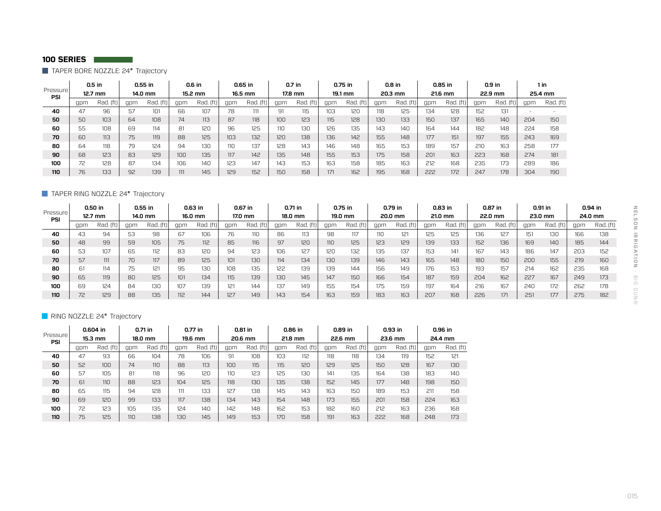TAPER BORE NOZZLE: 24° Trajectory

| Pressure <sup>®</sup> |     | $0.5$ in  |     | $0.55$ in   |     | 0.6 in    |     | 0.65 in  |     | 0.7 in    |     | 0.75 in     |     | $0.8$ in  |     | 0.85 in   |     | $0.9$ in    |     | 1 in      |
|-----------------------|-----|-----------|-----|-------------|-----|-----------|-----|----------|-----|-----------|-----|-------------|-----|-----------|-----|-----------|-----|-------------|-----|-----------|
| PSI                   |     | $12.7$ mm |     | 14.0 mm     |     | 15.2 mm   |     | 16.5 mm  |     | 17.8 mm   |     | 19.1 mm     |     | 20.3 mm   |     | 21.6 mm   |     | 22.9 mm     |     | 25.4 mm   |
|                       | qpn | Rad. (ft) | gpm | Rad.<br>(ft | qpm | Rad. (ft) | apm | Rad. (ft | apm | Rad. (ft) | gpm | (ft)<br>Rad | gpm | Rad. (ft) | gpm | Rad. (ft) | gpm | Rad.<br>íft | gpm | Rad. (ft) |
| 40                    | 47  | 96        | 57  | 101         | 66  | 107       | 78  |          | 91  | 115       | 103 | 120         | 118 | 125       | 134 | 128       | 152 | 131         |     |           |
| 50                    | 50  | 103       | 64  | 108         | 74  | 113       | 87  | 118      | 100 | 123       | 115 | 128         | 130 | 133       | 150 | 137       | 165 | 140         | 204 | 150       |
| 60                    | 55  | 108       | 69  | 114         | 81  | 120       | 96  | 125      | 110 | 130       | 126 | 135         | 143 | 140       | 164 | 144       | 182 | 148         | 224 | 158       |
| 70                    | 60  | 113       | 75  | 119         | 88  | 125       | 103 | 132      | 120 | 138       | 136 | 142         | 155 | 148       | 177 | 151       | 197 | 155         | 243 | 169       |
| 80                    | 64  | 118       | 79  | 124         | 94  | 130       | 110 | 137      | 128 | 143       | 146 | 148         | 165 | 153       | 189 | 157       | 210 | 163         | 258 | 177       |
| 90                    | 68  | 123       | 83  | 129         | 100 | 135       | 117 | 142      | 135 | 148       | 155 | 153         | 175 | 158       | 201 | 163       | 223 | 168         | 274 | 181       |
| 100                   | 72  | 128       | 87  | 134         | 106 | 140       | 123 | 147      | 143 | 153       | 163 | 158         | 185 | 163       | 212 | 168       | 235 | 173         | 289 | 186       |
| 110                   | 76  | 133       | 92  | 139         | 111 | 145       | 129 | 152      | 150 | 158       | 171 | 162         | 195 | 168       | 222 | 172       | 247 | 178         | 304 | 190       |

## **TAPER RING NOZZLE: 24° Trajectory**

| Pressure   |     | 0.50 in<br>12.7 mm |     | $0.55$ in<br>14.0 mm |     | 0.63 in<br>16.0 mm |     | 0.67 in<br>17.0 mm |     | 0.71 in<br>18.0 mm |     | $0.75$ in<br>19.0 mm |     | 0.79 in<br>20.0 mm |     | $0.83$ in<br>21.0 mm |     | 0.87 in<br>22.0 mm |     | 0.91 in<br>23.0 mm |     | 0.94 in<br>24.0 mm |
|------------|-----|--------------------|-----|----------------------|-----|--------------------|-----|--------------------|-----|--------------------|-----|----------------------|-----|--------------------|-----|----------------------|-----|--------------------|-----|--------------------|-----|--------------------|
| <b>PSI</b> | qpm | Rad. (ft)          | gpm | Rad. (ft)            | qpn | $Rad.$ (ft)        | gpm | Rad.               | apm | Rad.<br>íft        | gpm | Rad. (ft)            | apm | Rad.               | apm | Rad.<br>íft.         | gpm | Rad. (ft)          | gpm | Rad. (ft)          | qpm | Rad. (ft)          |
| 40         | 43  | 94                 | 53  | 98                   | 67  | 106                | 76  | 110                | 86  | 113                | 98  | 117                  | 110 | 121<br>16 I        | 125 | 125                  | 136 | 127                | 151 | 130                | 166 | 138                |
| 50         | 48  | 99                 | 59  | 105                  | 75  | 112                | 85  | 116                | 97  | 120                | 110 | 125                  | 123 | 129                | 139 | 133                  | 152 | 136                | 169 | 140                | 185 | 144                |
| 60         | 53  | 107                | 65  | 112                  | 83  | 120                | 94  | 123                | 106 | 127                | 120 | 132                  | 135 | 137                | 153 | 141                  | 167 | 143                | 186 | 147                | 203 | 152                |
| 70         | 57  | 111                | 70  | 117                  | 89  | 125                | 101 | 130                | 114 | 134                | 130 | 139                  | 146 | 143                | 165 | 148                  | 180 | 150                | 200 | 155                | 219 | 160                |
| 80         | ы   | 114                | フロ  | 121                  | 95  | 130                | 108 | 135                | 122 | 139                | 139 | 144                  | 156 | 149                | 176 | 153                  | 193 | 157                | 214 | 162                | 235 | 168                |
| 90         | 65  | 119                | 80  | 125                  | 101 | 134                | 115 | 139                | 130 | 145                | 147 | 150                  | 166 | 154                | 187 | 159                  | 204 | 162                | 227 | 167                | 249 | 173                |
| 100        | 69  | 124                | 84  | 130                  | 107 | 139                | 121 | 144                | 137 | 149                | 155 | 154                  | 175 | 159                | 197 | 164                  | 216 | 167                | 240 | 172                | 262 | 178                |
| 110        | 72  | 129                | 88  | 135                  | 112 | 144                | 127 | 149                | 143 | 154                | 163 | 159                  | 183 | 163                | 207 | 168                  | 226 | 171                | 251 | 177                | 275 | 182                |

## RING NOZZLE: 24° Trajectory

| Pressure <sup>1</sup><br><b>PSI</b> |     | 0.604 in<br>15.3 mm |     | 0.71 in<br>18.0 mm |     | $0.77$ in<br>19.6 mm |     | 0.81 in<br>20.6 mm |     | 0.86 in<br>21.8 mm |     | 0.89 in<br>22.6 mm |     | $0.93$ in<br>23.6 mm |     | 0.96 in<br>24.4 mm |
|-------------------------------------|-----|---------------------|-----|--------------------|-----|----------------------|-----|--------------------|-----|--------------------|-----|--------------------|-----|----------------------|-----|--------------------|
|                                     | gpm | Rad. (ft)           | gpm | Rad. (ft)          | gpm | Rad. (ft)            | gpm | Rad. (ft)          | gpm | Rad. (ft)          | gpm | Rad. (ft)          | gpm | Rad. (ft)            | gpm | Rad. (ft)          |
| 40                                  | 47  | 93                  | 66  | 104                | 78  | 106                  | 91  | 108                | 103 | 112                | 118 | 118                | 134 | 119                  | 152 | 121                |
| 50                                  | 52  | 100                 | 74  | 110                | 88  | 113                  | 100 | 115                | 115 | 120                | 129 | 125                | 150 | 128                  | 167 | 130                |
| 60                                  | 57  | 105                 | 81  | 118                | 96  | 120                  | 110 | 123                | 125 | 130                | 141 | 135                | 164 | 138                  | 183 | 140                |
| 70                                  | 61  | 11 <sub>0</sub>     | 88  | 123                | 104 | 125                  | 118 | 130                | 135 | 138                | 152 | 145                | 177 | 148                  | 198 | 150                |
| 80                                  | 65  | 115                 | 94  | 128                | 111 | 133                  | 127 | 138                | 145 | 143                | 163 | 150                | 189 | 153                  | 211 | 158                |
| 90                                  | 69  | 120                 | 99  | 133                | 117 | 138                  | 134 | 143                | 154 | 148                | 173 | 155                | 201 | 158                  | 224 | 163                |
| 100                                 | 72  | 123                 | 105 | 135                | 124 | 140                  | 142 | 148                | 162 | 153                | 182 | 160                | 212 | 163                  | 236 | 168                |
| 110                                 | 75  | 125                 | 110 | 138                | 130 | 145                  | 149 | 153                | 170 | 158                | 191 | 163                | 222 | 168                  | 248 | 173                |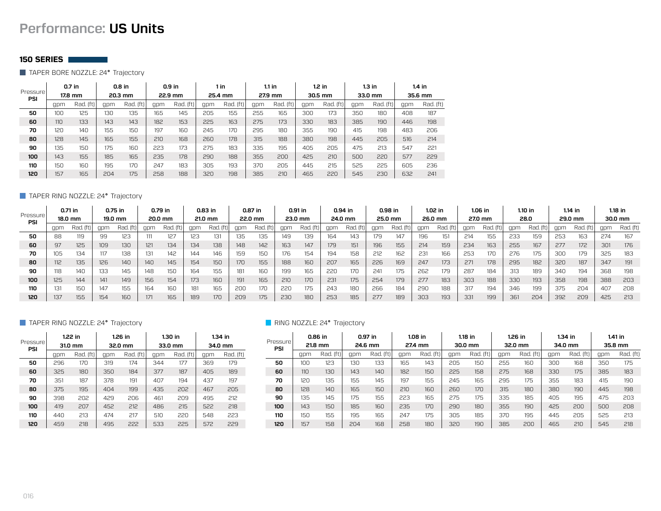# **Performance: US Units**

#### **150 SERIES**

TAPER BORE NOZZLE: 24° Trajectory

|                  |     | $0.7$ in  |     | $0.8$ in  |     | $0.9$ in  |     | $1$ in    |     | 1.1 in       |     | $1.2$ in  |     | $1.3$ in  |     | 1.4 in    |
|------------------|-----|-----------|-----|-----------|-----|-----------|-----|-----------|-----|--------------|-----|-----------|-----|-----------|-----|-----------|
| Pressure'<br>PSI |     | 17.8 mm   |     | 20.3 mm   |     | 22.9 mm   |     | 25.4 mm   |     | 27.9 mm      |     | 30.5 mm   |     | 33.0 mm   |     | 35.6 mm   |
|                  | qpm | Rad. (ft) | gpm | Rad. (ft) | gpm | Rad. (ft) | gpm | Rad. (ft) | qpm | (ft)<br>Rad. | gpm | Rad. (ft) | gpm | Rad. (ft) | gpm | Rad. (ft) |
| 50               | 100 | 125       | 130 | 135       | 165 | 145       | 205 | 155       | 255 | 165          | 300 | 173       | 350 | 180       | 408 | 187       |
| 60               | 110 | 133       | 143 | 143       | 182 | 153       | 225 | 163       | 275 | 173          | 330 | 183       | 385 | 190       | 446 | 198       |
| 70               | 120 | 140       | 155 | 150       | 197 | 160       | 245 | 170       | 295 | 180          | 355 | 190       | 415 | 198       | 483 | 206       |
| 80               | 128 | 145       | 165 | 155       | 210 | 168       | 260 | 178       | 315 | 188          | 380 | 198       | 445 | 205       | 516 | 214       |
| 90               | 135 | 150       | 175 | 160       | 223 | 173       | 275 | 183       | 335 | 195          | 405 | 205       | 475 | 213       | 547 | 221       |
| 100              | 143 | 155       | 185 | 165       | 235 | 178       | 290 | 188       | 355 | 200          | 425 | 210       | 500 | 220       | 577 | 229       |
| 110              | 150 | 160       | 195 | 170       | 247 | 183       | 305 | 193       | 370 | 205          | 445 | 215       | 525 | 225       | 605 | 236       |
| 120              | 157 | 165       | 204 | 175       | 258 | 188       | 320 | 198       | 385 | 210          | 465 | 220       | 545 | 230       | 632 | 241       |

#### TAPER RING NOZZLE: 24° Trajectory

|                 |     | $0.71$ in |     | 0.75 in   |     | 0.79 in   |     | 0.83 in  |     | 0.87 in |     | 0.91 in |     | 0.94 in |     | 0.98 in   |            | $1.02$ in |     | 1.06 in  |     | 1.10 in      |     | 1.14 in   |     | $1.18$ in |
|-----------------|-----|-----------|-----|-----------|-----|-----------|-----|----------|-----|---------|-----|---------|-----|---------|-----|-----------|------------|-----------|-----|----------|-----|--------------|-----|-----------|-----|-----------|
| Pressure<br>PSI |     | 18.0 mm   |     | 19.0 mm   |     | 20.0 mm   |     | 21.0 mm  |     | 22.0 mm |     | 23.0 mm |     | 24.0 mm |     | 25.0 mm   |            | 26.0 mm   |     | 27.0 mm  |     | 28.0         |     | 29.0 mm   |     | 30.0 mm   |
|                 | apm | Rad. (ft) | apm | Rad. (ft) | gpm | Rad. (ft) | anm | Rad. (ft | apm | Rad.    | apm | Rad.    | gpm | Rad. (f | anm | Rad. (ft) | anm        | Rad. (ft  | apm | Rad. (ft | apm | Rad.<br>ftt. | apm | $Rad_{1}$ | qpm | Rad. (ft) |
| 50              | 88  | 119       | 99  |           |     | 127       | 123 | 131      | 135 | 135     | 149 | 139     | 164 | 143     | 179 | 147       | 196        | 151       | 214 | 155      | 233 | 159          | 253 | 163       | 274 | 167       |
| 60              | 97  | 125       | 109 | 130       | 121 | 134       | 134 | 138      | 148 | 142     | 163 | 147     | 179 | 151     | 196 | 155       | 214        | 159       | 234 | 163      | 255 | 167          | 277 | 172       | 301 | 176       |
| 70              | 105 | 134       |     | 138       | 131 | 142       | 144 | 146      | 159 | 150     | 176 | 154     | 194 | 158     | 212 | 162       | 53.        | 166       | 253 | 170      | 276 | 175          | 300 | 179       | 325 | 183       |
| 80              | 112 | 135       | 126 | 140       | 140 | 145       | 154 | 150      | 170 | 155     | 188 | 160     | 207 | 165     | 226 | 169       | 247        | 173       | 271 | 178      | 295 | 182          | 320 | 187       | 347 | 191       |
| 90              |     | 140       | 133 | 145       | 148 | 150       | 164 | 155      | 181 | 160     | 199 | 165     | 220 | 170     | 241 | 175       | 262        | 179       | 287 | 184      | 313 | 189          | 340 | 194       | 368 | 198       |
| 100             | 125 | 144       | 141 | 149       | 156 | 154       | 173 | 160      | 191 | 165     | 210 | 170     | 231 | 175     | 254 | 179       | 277        | 183       | 303 | 188      | 330 | 193          | 358 | 198       | 388 | 203       |
| 110             |     | 150       | 147 | 155       | 164 | 160       | 181 | 165      | 200 | 170     | 220 | 175     | 243 | 180     | 266 | 184       | <b>290</b> | 188       | 317 | 194      | 346 | 199          | 375 | 204       | 407 | 208       |
| 120             | 137 | 155       | 154 | 160       | 171 | 165       | 189 | 170      | 209 | 175     | 230 | 180     | 253 | 185     | 277 | 189       | 303        | 193       | 331 | 199      | 361 | 204          | 392 | 209       | 425 | 213       |

#### **TAPER RING NOZZLE: 24° Trajectory RING NOZZLE: 24° Trajectory RING NOZZLE: 24° Trajectory**

| Pressure<br>PSI |     | 1.22 in<br>$31.0 \text{ mm}$ |     | 1.26 in<br>32.0 mm |     | $1.30$ in<br>33.0 mm |     | $1.34$ in<br>34.0 mm |
|-----------------|-----|------------------------------|-----|--------------------|-----|----------------------|-----|----------------------|
|                 | qpm | Rad. (ft)                    | gpm | Rad. (ft)          | qpm | Rad. (ft)            | gpm | Rad. (ft)            |
| 50              | 296 | 170                          | 319 | 174                | 344 | 177                  | 369 | 179                  |
| 60              | 325 | 180                          | 350 | 184                | 377 | 187                  | 405 | 189                  |
| 70              | 351 | 187                          | 378 | 191                | 407 | 194                  | 437 | 197                  |
| 80              | 375 | 195                          | 404 | 199                | 435 | 202                  | 467 | 205                  |
| 90              | 398 | 202                          | 429 | 206                | 461 | 209                  | 495 | 212                  |
| 100             | 419 | 207                          | 452 | 212                | 486 | 215                  | 522 | 218                  |
| 110             | 440 | 213                          | 474 | 217                | 510 | 220                  | 548 | 223                  |
| 120             | 459 | 218                          | 495 | 222                | 533 | 225                  | 572 | 229                  |

| Pressure <sup>®</sup> |                 | 0.86 in   |     | $0.97$ in |     | $1.08$ in |     | 1.18 in   |     | $1.26$ in |     | $1.34$ in |     | $1.41$ in |
|-----------------------|-----------------|-----------|-----|-----------|-----|-----------|-----|-----------|-----|-----------|-----|-----------|-----|-----------|
| PSI                   |                 | 21.8 mm   |     | 24.6 mm   |     | 27.4 mm   |     | 30.0 mm   |     | 32.0 mm   |     | 34.0 mm   |     | 35.8 mm   |
|                       | qpm             | Rad. (ft) | gpm | Rad. (ft) | gpm | Rad. (ft) | qpm | Rad. (ft) | qpm | Rad. (ft) | qpm | Rad. (ft) | qpm | Rad. (ft) |
| 50                    | 100             | 123       | 130 | 133       | 165 | 143       | 205 | 150       | 255 | 160       | 300 | 168       | 350 | 175       |
| 60                    | 11 <sub>0</sub> | 130       | 143 | 140       | 182 | 150       | 225 | 158       | 275 | 168       | 330 | 175       | 385 | 183       |
| 70                    | 120             | 135       | 155 | 145       | 197 | 155       | 245 | 165       | 295 | 175       | 355 | 183       | 415 | 190       |
| 80                    | 128             | 140       | 165 | 150       | 210 | 160       | 260 | 170       | 315 | 180       | 380 | 190       | 445 | 198       |
| 90                    | 135             | 145       | 175 | 155       | 223 | 165       | 275 | 175       | 335 | 185       | 405 | 195       | 475 | 203       |
| 100                   | 143             | 150       | 185 | 160       | 235 | 170       | 290 | 180       | 355 | 190       | 425 | 200       | 500 | 208       |
| 110                   | 150             | 155       | 195 | 165       | 247 | 175       | 305 | 185       | 370 | 195       | 445 | 205       | 525 | 213       |
| 120                   | 157             | 158       | 204 | 168       | 258 | 180       | 320 | 190       | 385 | 200       | 465 | 210       | 545 | 218       |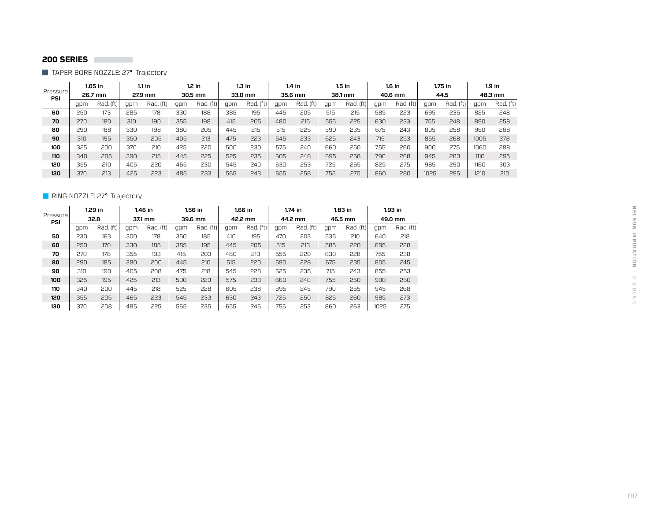TAPER BORE NOZZLE: 27° Trajectory

| Pressure |     | 1.05 in   |     | $1.1$ in  |     | $1.2$ in  |     | 1.3 in      |     | $1.4$ in      |     | 1.5 in    |     | 1.6 in         |      | 1.75 in        |      | 1.9 in    |
|----------|-----|-----------|-----|-----------|-----|-----------|-----|-------------|-----|---------------|-----|-----------|-----|----------------|------|----------------|------|-----------|
| PSI      |     | 26.7 mm   |     | 27.9 mm   |     | 30.5 mm   |     | 33.0 mm     |     | 35.6 mm       |     | 38.1 mm   |     | 40.6 mm        |      | 44.5           |      | 48.3 mm   |
|          | qpm | Rad. (ft) | gpm | Rad. (ft) | gpm | Rad. (ft) | gpm | ff)<br>Rad. | qpm | Rad.<br>. íft | qpm | Rad. (ft) | apm | . (ft)<br>Rad. | gpm  | Rad.<br>. (ft) | qpm  | Rad. (ft) |
| 60       | 250 | 173       | 285 | 178       | 330 | 188       | 385 | 195         | 445 | 205           | 515 | 215       | 585 | 223            | 695  | 235            | 825  | 248       |
| 70       | 270 | 180       | 310 | 190       | 355 | 198       | 415 | 205         | 480 | 215           | 555 | 225       | 630 | 233            | 755  | 248            | 890  | 258       |
| 80       | 290 | 188       | 330 | 198       | 380 | 205       | 445 | 215         | 515 | 225           | 590 | 235       | 675 | 243            | 805  | 258            | 95C  | 268       |
| 90       | 310 | 195       | 350 | 205       | 405 | 213       | 475 | 223         | 545 | 233           | 625 | 243       | 715 | 253            | 855  | 268            | 1005 | 278       |
| 100      | 325 | 200       | 370 | 210       | 425 | 220       | 500 | 230         | 575 | 240           | 660 | 250       | 755 | 260            | 900  | 275            | 1060 | 288       |
| 110      | 340 | 205       | 390 | 215       | 445 | 225       | 525 | 235         | 605 | 248           | 695 | 258       | 790 | 268            | 945  | 283            | 1110 | 295       |
| 120      | 355 | 210       | 405 | 220       | 465 | 230       | 545 | 240         | 630 | 253           | 725 | 265       | 825 | 275            | 985  | 290            | 1160 | 303       |
| 130      | 370 | 213       | 425 | 223       | 485 | 233       | 565 | 243         | 655 | 258           | 755 | 270       | 860 | 280            | 1025 | 295            | 1210 | 310       |

## RING NOZZLE: 27° Trajectory

|                 |     | $1.29$ in |     | $1.46$ in |     | $1.56$ in |     | 1.66 in   |     | $1.74$ in |     | $1.83$ in |      | $1.93$ in |
|-----------------|-----|-----------|-----|-----------|-----|-----------|-----|-----------|-----|-----------|-----|-----------|------|-----------|
| Pressure<br>PSI |     | 32.8      |     | 37.1 mm   |     | 39.6 mm   |     | 42.2 mm   |     | 44.2 mm   |     | 46.5 mm   |      | 49.0 mm   |
|                 | qpm | Rad. (ft) | qpm | Rad. (ft) | qpm | Rad. (ft) | qpm | Rad. (ft) | qpm | Rad. (ft) | qpm | Rad. (ft) | qpm  | Rad. (ft) |
| 50              | 230 | 163       | 300 | 178       | 350 | 185       | 410 | 195       | 470 | 203       | 535 | 210       | 640  | 218       |
| 60              | 250 | 170       | 330 | 185       | 385 | 195       | 445 | 205       | 515 | 213       | 585 | 220       | 695  | 228       |
| 70              | 270 | 178       | 355 | 193       | 415 | 203       | 480 | 213       | 555 | 220       | 630 | 228       | 755  | 238       |
| 80              | 290 | 185       | 380 | 200       | 445 | 210       | 515 | 220       | 590 | 228       | 675 | 235       | 805  | 245       |
| 90              | 310 | 190       | 405 | 208       | 475 | 218       | 545 | 228       | 625 | 235       | 715 | 243       | 855  | 253       |
| 100             | 325 | 195       | 425 | 213       | 500 | 223       | 575 | 233       | 660 | 240       | 755 | 250       | 900  | 260       |
| 110             | 340 | 200       | 445 | 218       | 525 | 228       | 605 | 238       | 695 | 245       | 790 | 255       | 945  | 268       |
| 120             | 355 | 205       | 465 | 223       | 545 | 233       | 630 | 243       | 725 | 250       | 825 | 260       | 985  | 273       |
| 130             | 370 | 208       | 485 | 225       | 565 | 235       | 655 | 245       | 755 | 253       | 860 | 263       | 1025 | 275       |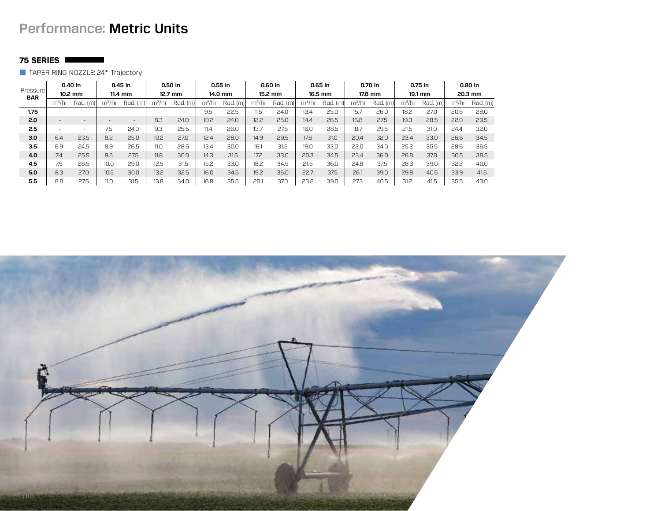# **Performance: Metric Units**

# **75 SERIES**

TAPER RING NOZZLE: 24° Trajectory

| Pressure   |           | 0.40 in<br>$10.2 \text{ mm}$ |                          | 0.45 in<br>$11.4 \text{ mm}$ |                          | 0.50 in<br>$12.7 \text{ mm}$ |                   | $0.55$ in<br>14.0 mm |                    | 0.60 in<br>15.2 mm |           | $0.65$ in<br>16.5 mm |          | 0.70 in<br>17.8 mm |                    | 0.75 in<br>19.1 mm |                    | 0.80 in<br>20.3 mm |
|------------|-----------|------------------------------|--------------------------|------------------------------|--------------------------|------------------------------|-------------------|----------------------|--------------------|--------------------|-----------|----------------------|----------|--------------------|--------------------|--------------------|--------------------|--------------------|
| <b>BAR</b> |           |                              |                          |                              |                          |                              |                   |                      |                    |                    |           |                      |          |                    |                    |                    |                    |                    |
|            | $m^3$ /hr | Rad. (m)                     | m <sup>3</sup> /hr       | Rad. (m)                     | m <sup>3</sup> /hr       | Rad. (m)                     | $m^3/hr$          | Rad. (m)             | m <sup>3</sup> /hr | Rad. (m)           | $m^3$ /hr | $Rad.$ (m)           | $m^3/hr$ | Rad. (m)           | m <sup>3</sup> /hr | Rad. (m)           | m <sup>3</sup> /hr | Rad. (m)           |
| 1.75       |           | $\overline{\phantom{a}}$     | $\overline{\phantom{a}}$ | $\overline{\phantom{a}}$     | $\overline{\phantom{a}}$ | -                            | 9.5               | 22.5                 | 11.5               | 24.0               | 13.4      | 25.0                 | 15.7     | 26.0               | 18.2               | 27.0               | 20.6               | 28.0               |
| 2.0        |           | -                            | $\overline{\phantom{a}}$ | $\qquad \qquad -$            | 8.3                      | 24.0                         | 10.2 <sub>2</sub> | 24.0                 | 12.2               | 25.0               | 14.4      | 26.5                 | 16.8     | 27.5               | 19.3               | 28.5               | 22.0               | 29.5               |
| 2.5        | -         | ۰                            | 7.5                      | 24.0                         | 9.3                      | 25.5                         | 11.4              | 26.0                 | 13.7               | 27.5               | 16.0      | 28.5                 | 18.7     | 29.5               | 21.5               | 31.0               | 24.4               | 32.0               |
| 3.0        | 6.4       | 23.5                         | 8.2                      | 25.0                         | 10.2                     | 27.0                         | 12.4              | 28.0                 | 14.9               | 29.5               | 17.6      | 31.0                 | 20.4     | 32.0               | 23.4               | 33.0               | 26.6               | 34.5               |
| 3.5        | 6.9       | 24.5                         | 8.9                      | 26.5                         | 11.0                     | 28.5                         | 13.4              | 30.0                 | 16.1               | 31.5               | 19.0      | 33.0                 | 22.0     | 34.0               | 25.2               | 35.5               | 28.6               | 36.5               |
| 4.0        | 7.4       | 25.5                         | 9.5                      | 27.5                         | 11.8                     | 30.0                         | 14.3              | 31.5                 | 17.2               | 33.0               | 20.3      | 34.5                 | 23.4     | 36.0               | 26.8               | 37.0               | 30.5               | 38.5               |
| 4.5        | 7.9       | 26.5                         | 10.0                     | 29.0                         | 12.5                     | 31.5                         | 15.2              | 33.0                 | 18.2               | 34.5               | 21.5      | 36.0                 | 24.8     | 37.5               | 28.3               | 39.0               | 32.2               | 40.0               |
| 5.0        | 8.3       | 27.0                         | 10.5                     | 30.0                         | 13.2                     | 32.5                         | 16.0              | 34.5                 | 19.2               | 36.0               | 22.7      | 37.5                 | 26.1     | 39.0               | 29.8               | 40.5               | 33.9               | 41.5               |
| 5.5        | 8.8       | 27.5                         | 11.0                     | 31.5                         | 13.8                     | 34.0                         | 16.8              | 35.5                 | 20.1               | 37.0               | 23.8      | 39.0                 | 27.3     | 40.5               | 31.2               | 41.5               | 35.5               | 43.0               |

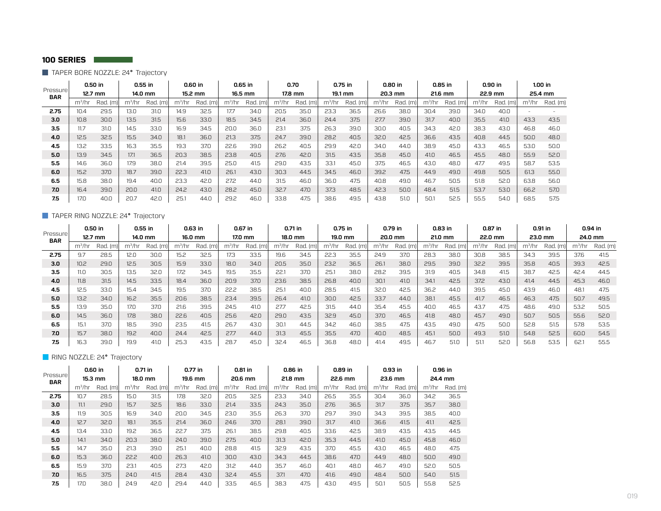**TAPER BORE NOZZLE: 24° Trajectory** 

|                                     |                    | 0.50 in   |          | $0.55$ in |           | 0.60 in |                    | $0.65$ in |                    | 0.70    |                    | $0.75$ in |                    | 0.80 in  |                    | 0.85 in  |                    | 0.90 in  |                    | 1.00 in  |
|-------------------------------------|--------------------|-----------|----------|-----------|-----------|---------|--------------------|-----------|--------------------|---------|--------------------|-----------|--------------------|----------|--------------------|----------|--------------------|----------|--------------------|----------|
| Pressure <sup>1</sup><br><b>BAR</b> |                    | $12.7$ mm |          | 14.0 mm   |           | 15.2 mm |                    | 16.5 mm   |                    | 17.8 mm |                    | 19.1 mm   |                    | 20.3 mm  |                    | 21.6 mm  |                    | 22.9 mm  |                    | 25.4 mm  |
|                                     | m <sup>3</sup> /hr | Rad. (m)  | $m^3/hr$ | Rad. (m)  | $m^3$ /hr | Rad. (m | m <sup>3</sup> /hr | Rad. (m)  | m <sup>3</sup> /hr | Rad. (m | m <sup>3</sup> /hr | Rad. (m)  | m <sup>3</sup> /hr | Rad. (m) | m <sup>3</sup> /hr | Rad. (m) | m <sup>3</sup> /hr | Rad. (m) | m <sup>3</sup> /hr | Rad. (m) |
| 2.75                                | 10.4               | 29.5      | 13.0     | 31.0      | 14.9      | 32.5    | 17.7               | 34.0      | 20.5               | 35.0    | 23.3               | 36.5      | 26.6               | 38.0     | 30.4               | 39.0     | 34.0               | 40.0     |                    |          |
| 3.0                                 | 10.8               | 30.0      | 13.5     | 31.5      | 15.6      | 33.0    | 18.5               | 34.5      | 21.4               | 36.0    | 24.4               | 37.5      | 27.7               | 39.0     | 31.7               | 40.0     | 35.5               | 41.0     | 43.3               | 43.5     |
| 3.5                                 | 11.7               | 31.0      | 14.5     | 33.0      | 16.9      | 34.5    | 20.0               | 36.0      | 23.1               | 37.5    | 26.3               | 39.0      | 30.0               | 40.5     | 34.3               | 42.0     | 38.3               | 43.0     | 46.8               | 46.0     |
| 4.0                                 | 12.5               | 32.5      | 15.5     | 34.0      | 18.1      | 36.0    | 21.3               | 37.5      | 24.7               | 39.0    | 28.2               | 40.5      | 32.0               | 42.5     | 36.6               | 43.5     | 40.8               | 44.5     | 50.0               | 48.0     |
| 4.5                                 | 13.2               | 33.5      | 16.3     | 35.5      | 19.3      | 37.0    | 22.6               | 39.0      | 26.2               | 40.5    | 29.9               | 42.0      | 34.0               | 44.0     | 38.9               | 45.0     | 43.3               | 46.5     | 53.0               | 50.0     |
| 5.0                                 | 13.9               | 34.5      | 17.1     | 36.5      | 20.3      | 38.5    | 23.8               | 40.5      | 27.6               | 42.0    | 31.5               | 43.5      | 35.8               | 45.0     | 41.0               | 46.5     | 45.5               | 48.0     | 55.9               | 52.0     |
| 5.5                                 | 14.6               | 36.0      | 17.9     | 38.0      | 21.4      | 39.5    | 25.0               | 41.5      | 29.0               | 43.5    | 33.1               | 45.0      | 37.5               | 46.5     | 43.0               | 48.0     | 47.7               | 49.5     | 58.7               | 53.5     |
| 6.0                                 | 15.2               | 37.0      | 18.7     | 39.0      | 22.3      | 41.0    | 26.1               | 43.0      | 30.3               | 44.5    | 34.5               | 46.0      | 39.2               | 47.5     | 44.9               | 49.0     | 49.8               | 50.5     | 61.3               | 55.0     |
| 6.5                                 | 15.8               | 38.0      | 19.4     | 40.0      | 23.3      | 42.0    | 27.2               | 44.0      | 31.5               | 46.0    | 36.0               | 47.5      | 40.8               | 49.0     | 46.7               | 50.5     | 51.8               | 52.0     | 63.8               | 56.0     |
| 7.0                                 | 16.4               | 39.0      | 20.0     | 41.0      | 24.2      | 43.0    | 28.2               | 45.0      | 32.7               | 47.0    | 37.3               | 48.5      | 42.3               | 50.0     | 48.4               | 51.5     | 53.7               | 53.0     | 66.2               | 57.0     |
| 7.5                                 | 17.0               | 40.0      | 20.7     | 42.0      | 25.7      | 44.0    | 29.2               | 46.0      | 33.8               | 47.5    | 38.6               | 49.5      | 43.8               | 51.0     | 50.1               | 52.5     | 55.5               | 54.0     | 68.5               | 57.5     |

## TAPER RING NOZZLE: 24° Trajectory

| Pressure <sup>'</sup><br><b>BAR</b> | 0.50 in<br>$12.7$ mm |         | 0.55 in<br>14.0 mm |      | 0.63 in<br>16.0 mm |             |                    | 0.67 in<br>17.0 mm |                    |          | $0.71$ in<br>18.0 mm |          | 0.75 in<br>19.0 mm |          | 0.79 in<br>20.0 mm |          | 0.83 in<br>21.0 mm |          | 0.87 in<br>22.0 mm |         | 0.91 in<br>23.0 mm |          | $0.94$ in<br>24.0 mm |
|-------------------------------------|----------------------|---------|--------------------|------|--------------------|-------------|--------------------|--------------------|--------------------|----------|----------------------|----------|--------------------|----------|--------------------|----------|--------------------|----------|--------------------|---------|--------------------|----------|----------------------|
|                                     | m <sup>3</sup> /hr   | Rad. (m | m <sup>3</sup> /hr | Rad. | m <sup>3</sup> /hr | Rad.<br>(m) | m <sup>3</sup> /hr | Rad. (m)           | m <sup>3</sup> /hr | Rad. (m) | m <sup>3</sup> /hr   | Rad. (m) | m <sup>3</sup> /hr | Rad. (m) | m <sup>3</sup> /hr | Rad. (m) | m <sup>3</sup> /hr | Rad. (m) | m <sup>3</sup> /hr | Rad. Im | m <sup>3</sup> /hr | Rad. (m) |                      |
| 2.75                                | 9.7                  | 28.5    | 12.0               | 30.0 | 15.2               | 32.5        | 17.3               | 33.5               | 19.6               | 34.5     | 22.3                 | 35.5     | 24.9               | 37.0     | 28.3               | 38.0     | 30.8               | 38.5     | 34.3               | 39.5    | 37.6               | 41.5     |                      |
| 3.0                                 | 10.2                 | 29.0    | 12.5               | 30.5 | 15.9               | 33.0        | 18.0               | 34.0               | 20.5               | 35.0     | 23.2                 | 36.5     | 26.1               | 38.0     | 29.5               | 39.0     | 32.2               | 39.5     | 35.8               | 40.5    | 39.3               | 42.5     |                      |
| 3.5                                 | 11.0                 | 30.5    | 13.5               | 32.0 | 17.2               | 34.5        | 19.5               | 35.5               | 22.                | 37.0     | 25.7                 | 38.0     | 28.2               | 39.5     | 31.9               | 40.5     | 34.8               | 41.5     | 38.7               | 42.5    | 42.4               | 44.5     |                      |
| 4.0                                 | 11.8                 | 31.5    | 14.5               | 33.5 | 18.4               | 36.0        | 20.9               | 37.0               | 23.6               | 38.5     | 26.8                 | 40.0     | 30.1               | 41.0     | 34.1               | 42.5     | 37.2               | 43.0     | 41.4               | 44.5    | 45.3               | 46.0     |                      |
| 4.5                                 | 12.5                 | 33.0    | 15.4               | 34.5 | 19.5               | 37.0        | 22.2               | 38.5               | 25.7               | 40.0     | 28.5                 | 41.5     | 32.0               | 42.5     | 36.2               | 44.0     | 39.5               | 45.0     | 43.9               | 46.0    | 48.1               | 47.5     |                      |
| 5.0                                 | 13.2 <sub>2</sub>    | 34.0    | 16.2               | 35.5 | 20.6               | 38.5        | 23.4               | 39.5               | 26.4               | 41.0     | 30.0                 | 42.5     | 33.7               | 44.0     | 38.1               | 45.5     | 41.7               | 46.5     | 46.3               | 47.5    | 50.7               | 49.5     |                      |
| 5.5                                 | 13.9                 | 35.0    | 17.0               | 37.0 | 21.6               | 39.5        | 24.5               | 41.0               | 27.7               | 42.5     | 31.5                 | 44.0     | 35.4               | 45.5     | 40.0               | 46.5     | 43.7               | 47.5     | 48.6               | 49.0    | 53.2               | 50.5     |                      |
| 6.0                                 | 14.5                 | 36.0    | 17.8               | 38.0 | 22.6               | 40.5        | 25.6               | 42.0               | 29.0               | 43.5     | 32.9                 | 45.0     | 37.0               | 46.5     | 41.8               | 48.0     | 45.7               | 49.0     | 50.7               | 50.5    | 55.6               | 52.0     |                      |
| 6.5                                 | 15.1                 | 37.0    | 18.5               | 39.0 | 23.5               | 41.5        | 26.7               | 43.0               | 30.1               | 44.5     | 34.2                 | 46.0     | 38.5               | 47.5     | 43.5               | 49.0     | 47.5               | 50.0     | 52.8               | 51.5    | 57.8               | 53.5     |                      |
| 7.0                                 | 15.7                 | 38.0    | 19.2               | 40.0 | 24.4               | 42.5        | 27.7               | 44.0               | 31.3               | 45.5     | 35.5                 | 47.0     | 40.0               | 48.5     | 45.1               | 50.0     | 49.3               | 51.0     | 54.8               | 52.5    | 60.0               | 54.5     |                      |
| 7.5                                 | 16.3                 | 39.0    | 19.9               | 41.0 | 25.3               | 43.5        | 28.7               | 45.0               | 32.4               | 46.5     | 36.8                 | 48.0     | 41.4               | 49.5     | 46.7               | 51.0     | 51.1               | 52.0     | 56.8               | 53.5    | 62.1               | 55.5     |                      |

RING NOZZLE: 24° Trajectory

|                                     | 0.60 in            |          | 0.71 in  |          |          | 0.77 in  |                    | 0.81 in  |                    | 0.86 in  |           | 0.89 in  |           | $0.93$ in |                    | 0.96 in  |
|-------------------------------------|--------------------|----------|----------|----------|----------|----------|--------------------|----------|--------------------|----------|-----------|----------|-----------|-----------|--------------------|----------|
| Pressure <sup>®</sup><br><b>BAR</b> |                    | 15.3 mm  | 18.0 mm  |          |          | 19.6 mm  |                    | 20.6 mm  |                    | 21.8 mm  |           | 22.6 mm  |           | 23.6 mm   |                    | 24.4 mm  |
|                                     | m <sup>3</sup> /hr | Rad. (m) | $m^3/hr$ | Rad. (m) | $m^3/hr$ | Rad. (m) | m <sup>3</sup> /hr | Rad. (m) | m <sup>3</sup> /hr | Rad. (m) | $m^3$ /hr | Rad. (m) | $m^3$ /hr | Rad. (m)  | m <sup>3</sup> /hr | Rad. (m) |
| 2.75                                | 10.7               | 28.5     | 15.0     | 31.5     | 17.8     | 32.0     | 20.5               | 32.5     | 23.3               | 34.0     | 26.5      | 35.5     | 30.4      | 36.0      | 34.2               | 36.5     |
| 3.0                                 | 11.1               | 29.0     | 15.7     | 32.5     | 18.6     | 33.0     | 21.4               | 33.5     | 24.3               | 35.0     | 27.6      | 36.5     | 31.7      | 37.5      | 35.7               | 38.0     |
| 3.5                                 | 11.9               | 30.5     | 16.9     | 34.0     | 20.0     | 34.5     | 23.0               | 35.5     | 26.3               | 37.0     | 29.7      | 39.0     | 34.3      | 39.5      | 38.5               | 40.0     |
| 4.0                                 | 12.7               | 32.0     | 18.1     | 35.5     | 21.4     | 36.0     | 24.6               | 37.0     | 28.1               | 39.0     | 31.7      | 41.0     | 36.6      | 41.5      | 41.1               | 42.5     |
| 4.5                                 | 13.4               | 33.0     | 19.2     | 36.5     | 22.7     | 37.5     | 26.1               | 38.5     | 29.8               | 40.5     | 33.6      | 42.5     | 38.9      | 43.5      | 43.5               | 44.5     |
| 5.0                                 | 14.1               | 34.0     | 20.3     | 38.0     | 24.0     | 39.0     | 27.5               | 40.0     | 31.3               | 42.0     | 35.3      | 44.5     | 41.0      | 45.0      | 45.8               | 46.0     |
| $5.5\phantom{0}$                    | 14.7               | 35.0     | 21.3     | 39.0     | 25.1     | 40.0     | 28.8               | 41.5     | 32.9               | 43.5     | 37.0      | 45.5     | 43.0      | 46.5      | 48.0               | 47.5     |
| 6.0                                 | 15.3               | 36.0     | 22.2     | 40.0     | 26.3     | 41.0     | 30.0 <sub>2</sub>  | 43.0     | 34.3               | 44.5     | 38.6      | 47.0     | 44.9      | 48.0      | 50.0               | 49.0     |
| 6.5                                 | 15.9               | 37.0     | 23.1     | 40.5     | 27.3     | 42.0     | 31.2               | 44.0     | 35.7               | 46.0     | 40.1      | 48.0     | 46.7      | 49.0      | 52.0               | 50.5     |
| 7.0                                 | 16.5               | 37.5     | 24.0     | 41.5     | 28.4     | 43.0     | 32.4               | 45.5     | 37.1               | 47.0     | 41.6      | 49.0     | 48.4      | 50.0      | 54.0               | 51.5     |
| 7.5                                 | 17.0               | 38.0     | 24.9     | 42.0     | 29.4     | 44.0     | 33.5               | 46.5     | 38.3               | 47.5     | 43.0      | 49.5     | 50.1      | 50.5      | 55.8               | 52.5     |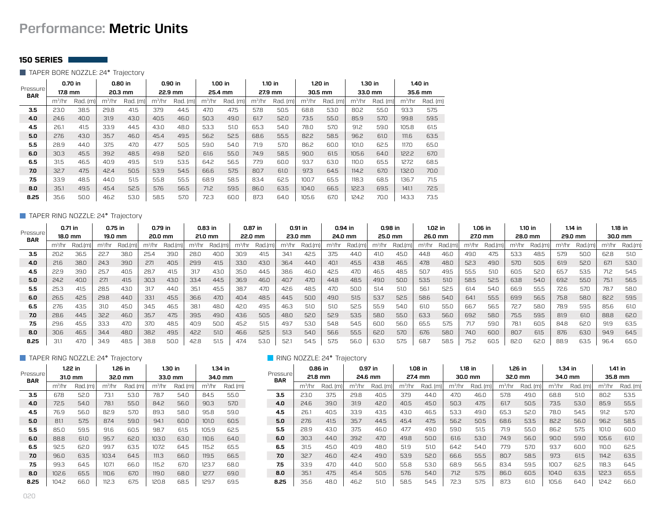# **Performance: Metric Units**

#### **150 SERIES**

TAPER BORE NOZZLE: 24° Trajectory

| Pressure<br><b>BAR</b> | 0.70 in            |          | 0.80 in  |          | $0.90$ in |          | $1.00$ in |          |                    | $1.10$ in |          | $1.20$ in |                    | 1.30 in  |          | 1.40 in  |
|------------------------|--------------------|----------|----------|----------|-----------|----------|-----------|----------|--------------------|-----------|----------|-----------|--------------------|----------|----------|----------|
|                        | 17.8 mm            |          | 20.3 mm  |          |           | 22.9 mm  |           | 25.4 mm  |                    | 27.9 mm   |          | 30.5 mm   |                    | 33.0 mm  |          | 35.6 mm  |
|                        | m <sup>3</sup> /hr | Rad. (m) | $m^3/hr$ | Rad. (m) | $m^3$ /hr | Rad. (m) | $m^3/hr$  | Rad. (m) | m <sup>3</sup> /hr | Rad. (m)  | $m^3/hr$ | Rad. (m)  | m <sup>3</sup> /hr | Rad. (m) | $m^3/hr$ | Rad. (m) |
| 3.5                    | 23.0               | 38.5     | 29.8     | 41.5     | 37.9      | 44.5     | 47.0      | 47.5     | 57.8               | 50.5      | 68.8     | 53.0      | 80.2               | 55.0     | 93.3     | 57.5     |
| 4.0                    | 24.6               | 40.0     | 31.9     | 43.0     | 40.5      | 46.0     | 50.3      | 49.0     | 61.7               | 52.0      | 73.5     | 55.0      | 85.9               | 57.0     | 99.8     | 59.5     |
| 4.5                    | 26.1               | 41.5     | 33.9     | 44.5     | 43.0      | 48.0     | 53.3      | 51.0     | 65.3               | 54.0      | 78.0     | 57.0      | 91.2               | 59.0     | 105.8    | 61.5     |
| 5.0                    | 27.6               | 43.0     | 35.7     | 46.0     | 45.4      | 49.5     | 56.2      | 52.5     | 68.6               | 55.5      | 82.2     | 58.5      | 96.2               | 61.0     | 111.6    | 63.5     |
| 5.5                    | 28.9               | 44.0     | 37.5     | 47.0     | 47.7      | 50.5     | 59.0      | 54.0     | 71.9               | 57.0      | 86.2     | 60.0      | 101.0              | 62.5     | 117.0    | 65.0     |
| 6.0                    | 30.3               | 45.5     | 39.2     | 48.5     | 49.8      | 52.0     | 61.6      | 55.0     | 74.9               | 58.5      | 90.0     | 61.5      | 105.6              | 64.0     | 122.2    | 67.0     |
| 6.5                    | 31.5               | 46.5     | 40.9     | 49.5     | 51.9      | 53.5     | 64.2      | 56.5     | 77.9               | 60.0      | 93.7     | 63.0      | 110.0              | 65.5     | 127.2    | 68.5     |
| 7.0                    | 32.7               | 47.5     | 42.4     | 50.5     | 53.9      | 54.5     | 66.6      | 57.5     | 80.7               | 61.0      | 97.3     | 64.5      | 114.2              | 67.0     | 132.0    | 70.0     |
| 7.5                    | 33.9               | 48.5     | 44.0     | 51.5     | 55.8      | 55.5     | 68.9      | 58.5     | 83.4               | 62.5      | 100.7    | 65.5      | 118.3              | 68.5     | 136.7    | 71.5     |
| 8.0                    | 35.1               | 49.5     | 45.4     | 52.5     | 57.6      | 56.5     | 71.2      | 59.5     | 86.0               | 63.5      | 104.0    | 66.5      | 122.3              | 69.5     | 141.1    | 72.5     |
| 8.25                   | 35.6               | 50.0     | 46.2     | 53.0     | 58.5      | 57.0     | 72.3      | 60.0     | 87.3               | 64.0      | 105.6    | 67.0      | 124.2              | 70.0     | 143.3    | 73.5     |

#### TAPER RING NOZZLE: 24° Trajectory

| Pressure   |                    | 0.71 in |                    | 0.75 in |                    | 0.79 in |                    | $0.83$ in |                    | 0.87 in |           | 0.91 in |                    | $0.94$ in |                    | 0.98 in |       | $1.02$ in |       | 1.06 in |                    | $1.10$ in |                    | $1.14$ in |           | $1.18$ in |
|------------|--------------------|---------|--------------------|---------|--------------------|---------|--------------------|-----------|--------------------|---------|-----------|---------|--------------------|-----------|--------------------|---------|-------|-----------|-------|---------|--------------------|-----------|--------------------|-----------|-----------|-----------|
| <b>BAR</b> |                    | 18.0 mm |                    | 19.0 mm |                    | 20.0 mm | 21.0 mm            |           |                    | 22.0 mm |           | 23.0 mm |                    | 24.0 mm   |                    | 25.0 mm |       | 26.0 mm   |       | 27.0 mm |                    | 28.0 mm   |                    | 29.0 mm   |           | 30.0 mm   |
|            | m <sup>3</sup> /hr | Rad.(m  | m <sup>3</sup> /hr | Rad.(m) | m <sup>3</sup> /hr | Rad.(m  | m <sup>3</sup> /hr | Rad.(m    | m <sup>3</sup> /hr | Rad.(m  | $m^3$ /hr | Rad.(m) | m <sup>3</sup> /hr | Rad.(m    | m <sup>3</sup> /hr | Rad.(m  | m3/hr | Rad.(m)   | m3/hr | Rad.(m) | m <sup>3</sup> /hr | Rad.      | m <sup>3</sup> /hr | Rad.(m    | $m^3$ /hr | Rad.(m)   |
| 3.5        | 20.2               | 36.5    | 22.7               | 38.C    | 25.4               | 39.C    | 28.0               | 40.0      | 30.9               | 41.5    | 34.       | 42.5    | 37.5               | 44.0      | 41.0               | 45.0    | 44.8  | 46.0      | 49.0  | 47.5    | 53.3               | 48.5      | 57.9               | 50.0      | 62.8      | 51.0      |
| 4.0        | 21.6               | 38.0    | 24.3               | 39.0    | 27.1               | 40.5    | 29.9               | 41.5      | 33.0               | 43.0    | 36.4      | 44.0    | 40.1               | 45.5      | 43.8               | 46.5    | 47.8  | 48.0      | 52.3  | 49.0    | 57.0               | 50.5      | 61.9               | 52.0      | 67.1      | 53.0      |
| 4.5        | 22.9               | 39.0    | 25.7               | 40.5    | 28.7               | 41.5    | 31.7               | 43.0      | 35.0               | 44.5    | 38.6      | 46.0    | 42.5               | 47.0      | 46.5               | 48.5    | 50.7  | 49.5      | 55.5  | 51.0    | 60.5               | 52.C      | 65.7               | 53.5      | 71.2      | 54.5      |
| 5.0        | 24.2               | 40.0    | 27.1               | 41.5    | 30.3               | 43.0    | 33.4               | 44.5      | 36.9               | 46.0    | 40.7      | 47.0    | 44.8               | 48.5      | 49.0               | 50.0    | 53.5  | 51.0      | 58.5  | 52.5    | 63.8               | 54.0      | 69.2               | 55.0      | 75.1      | 56.5      |
| 5.5        | 25.3               | 41.5    | 28.5               | 43.0    | 31.7               | 44.0    | 35.1               | 45.5      | 38.7               | 47.0    | 42.6      | 48.5    | 47.0               | 50.0      | 51.4               | 51.0    | 56.   | 52.5      | 61.4  | 54.0    | 66.9               | 55.5      | 72.6               | 57.0      | 78.7      | 58.0      |
| 6.0        | 26.5               | 42.5    | 29.8               | 44.0    | 33.1               | 45.5    | 36.6               | 47.0      | 40.4               | 48.5    | 44.5      | 50.0    | 49.0               | 51.5      | 53.7               | 52.5    | 58.6  | 54.0      | 64.1  | 55.5    | 69.9               | 56.5      | 75.8               | 58.0      | 82.2      | 59.5      |
| 6.5        | 27.6               | 43.5    | 31.0               | 45.0    | 34.5               | 46.5    | 38.1               | 48.0      | 42.0               | 49.5    | 46.3      | 51.0    | 51.0               | 52.5      | 55.9               | 54.0    | 61.0  | 55.0      | 66.7  | 56.5    | 72.7               | 58.0      | 78.9               | 59.5      | 85.6      | 61.0      |
| 7.0        | 28.6               | 44.5    | 32.2               | 46.0    | 35.7               | 47.5    | 39.5               | 49.0      | 43.6               | 50.5    | 48.0      | 52.0    | 52.9               | 53.5      | 58.0               | 55.0    | 63.3  | 56.0      | 69.2  | 58.0    | 75.5               | 59.5      | 81.9               | 61.0      | 88.8      | 62.0      |
| 7.5        | 29.6               | 45.5    | 33.3               | 47.0    | 37.0               | 48.5    | 40.9               | 50.0      | 45.2               | 51.5    | 49.7      | 53.0    | 54.8               | 54.5      | 60.0               | 56.0    | 65.5  | 57.5      | 71.7  | 59.0    | 78.1               | 60.5      | 84.8               | 62.0      | 91.9      | 63.5      |
| 8.0        | 30.6               | 46.5    | 34.4               | 48.0    | 38.2               | 49.5    | 42.2               | 51.0      | 46.6               | 52.5    | 51.3      | 54.0    | 56.6               | 55.5      | 62.0               | 57.0    | 67.6  | 58.0      | 74.0  | 60.0    | 80.7               | 61.5      | 87.6               | 63.0      | 94.9      | 64.5      |
| 8.25       | 31.1               | 47.0    | 34.9               | 48.5    | 38.8               | 50.0    | 42.8               | 51.5      | 47.4               | 53.0    | 52.1      | 54.5    | 57.5               | 56.0      | 63.C               | 57.5    | 68.7  | 58.5      | 75.2  | 60.5    | 82.0               | 62.0      | 88.9               | 63.5      | 96.4      | 65.0      |

# **TAPER RING NOZZLE: 24° Trajectory RING NOZZLE: 24° Trajectory RING NOZZLE: 24° Trajectory**

| Pressure   |           | 1.22 in  |                    | $1.26$ in |           | 1.30 in  | $1.34$ in |          |  |  |
|------------|-----------|----------|--------------------|-----------|-----------|----------|-----------|----------|--|--|
| <b>BAR</b> |           | 31.0 mm  |                    | 32.0 mm   |           | 33.0 mm  |           | 34.0 mm  |  |  |
|            | $m^3$ /hr | Rad. (m) | m <sup>3</sup> /hr | Rad. (m)  | $m^3$ /hr | Rad. (m) | $m^3$ /hr | Rad. (m) |  |  |
| 3.5        | 67.8      | 52.0     | 73.1               | 53.0      | 78.7      | 54.0     | 84.5      | 55.0     |  |  |
| 4.0        | 72.5      | 54.0     | 78.1               | 55.0      | 84.2      | 56.0     | 90.3      | 57.0     |  |  |
| 4.5        | 76.9      | 56.0     | 82.9               | 57.0      | 89.3      | 58.0     | 95.8      | 59.0     |  |  |
| 5.0        | 81.1      | 57.5     | 87.4               | 59.0      | 94.1      | 60.0     | 101.0     | 60.5     |  |  |
| 5.5        | 85.0      | 59.5     | 91.6               | 60.5      | 98.7      | 61.5     | 105.9     | 62.5     |  |  |
| 6.0        | 88.8      | 61.0     | 95.7               | 62.0      | 103.0     | 63.0     | 110.6     | 64.0     |  |  |
| 6.5        | 92.5      | 62.0     | 99.7               | 63.5      | 107.2     | 64.5     | 115.2     | 65.5     |  |  |
| 7.0        | 96.0      | 63.5     | 103.4              | 64.5      | 111.3     | 66.0     | 119.5     | 66.5     |  |  |
| 7.5        | 99.3      | 64.5     | 107.1              | 66.0      | 115.2     | 67.0     | 123.7     | 68.0     |  |  |
| 8.0        | 102.6     | 65.5     | 110.6              | 67.0      | 119.0     | 68.0     | 127.7     | 69.0     |  |  |
| 8.25       | 104.2     | 66.0     | 112.3              | 67.5      | 120.8     | 68.5     | 129.7     | 69.5     |  |  |

| Pressure   | 0.86 in<br>21.8 mm |          |           | 0.97 in<br>24.6 mm |           | 1.08 in<br>27.4 mm |          | $1.18$ in<br>30.0 mm |          | $1.26$ in<br>32.0 mm |          | $1.34$ in<br>34.0 mm |          | $1.41$ in<br>35.8 mm |
|------------|--------------------|----------|-----------|--------------------|-----------|--------------------|----------|----------------------|----------|----------------------|----------|----------------------|----------|----------------------|
| <b>BAR</b> | $m^3$ /hr          | Rad. (m) | $m^3$ /hr | Rad. (m)           | $m^3$ /hr | Rad. (m)           | $m^3/hr$ | Rad. (m)             | $m^3/hr$ | Rad. (m)             | $m^3/hr$ | Rad. (m)             | $m^3/hr$ | Rad. (m)             |
| 3.5        | 23.0               | 37.5     | 29.8      | 40.5               | 37.9      | 44.0               | 47.0     | 46.0                 | 57.8     | 49.0                 | 68.8     | 51.0                 | 80.2     | 53.5                 |
| 4.0        | 24.6               | 39.0     | 31.9      | 42.0               | 40.5      | 45.0               | 50.3     | 47.5                 | 61.7     | 50.5                 | 73.5     | 53.0                 | 85.9     | 55.5                 |
| 4.5        | 26.1               | 40.5     | 33.9      | 43.5               | 43.0      | 46.5               | 53.3     | 49.0                 | 65.3     | 52.0                 | 78.0     | 54.5                 | 91.2     | 57.0                 |
| 5.0        | 27.6               | 41.5     | 35.7      | 44.5               | 45.4      | 47.5               | 56.2     | 50.5                 | 68.6     | 53.5                 | 82.2     | 56.0                 | 96.2     | 58.5                 |
| 5.5        | 28.9               | 43.0     | 37.5      | 46.0               | 47.7      | 49.0               | 59.0     | 51.5                 | 71.9     | 55.0                 | 86.2     | 57.5                 | 101.0    | 60.0                 |
| 6.0        | 30.3               | 44.0     | 39.2      | 47.0               | 49.8      | 50.0               | 61.6     | 53.0                 | 74.9     | 56.0                 | 90.0     | 59.0                 | 105.6    | 61.0                 |
| 6.5        | 31.5               | 45.0     | 40.9      | 48.0               | 51.9      | 51.0               | 64.2     | 54.0                 | 77.9     | 57.0                 | 93.7     | 60.0                 | 110.0    | 62.5                 |
| 7.0        | 32.7               | 46.0     | 42.4      | 49.0               | 53.9      | 52.0               | 66.6     | 55.5                 | 80.7     | 58.5                 | 97.3     | 61.5                 | 114.2    | 63.5                 |
| 7.5        | 33.9               | 47.0     | 44.0      | 50.0               | 55.8      | 53.0               | 68.9     | 56.5                 | 83.4     | 59.5                 | 100.7    | 62.5                 | 118.3    | 64.5                 |
| 8.0        | 35.1               | 47.5     | 45.4      | 50.5               | 57.6      | 54.0               | 71.2     | 57.5                 | 86.0     | 60.5                 | 104.0    | 63.5                 | 122.3    | 65.5                 |
| 8.25       | 35.6               | 48.0     | 46.2      | 51.0               | 58.5      | 54.5               | 72.3     | 57.5                 | 87.3     | 61.0                 | 105.6    | 64.0                 | 124.2    | 66.0                 |